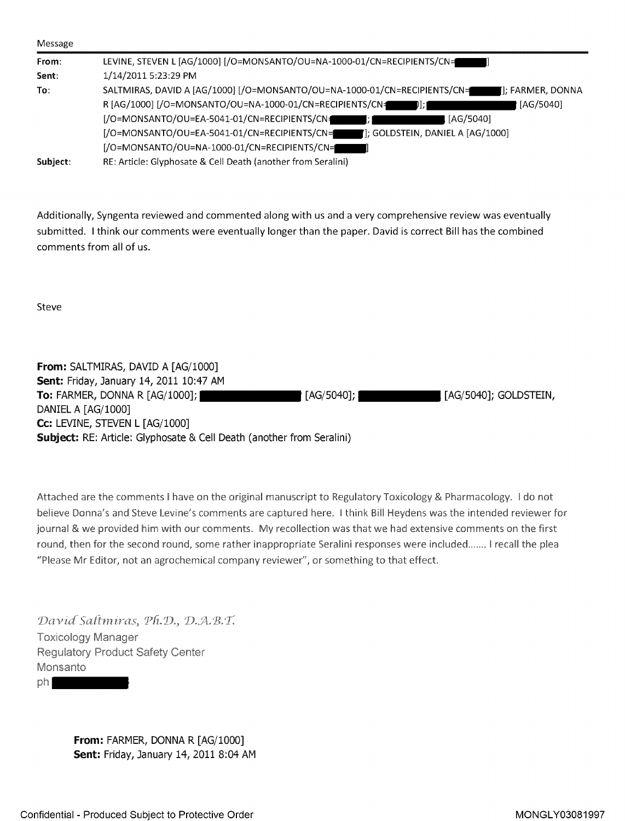| LEVINE, STEVEN L [AG/1000] [/O=MONSANTO/OU=NA-1000-01/CN=RECIPIENTS/CN=                        |  |
|------------------------------------------------------------------------------------------------|--|
| 1/14/2011 5:23:29 PM                                                                           |  |
| SALTMIRAS, DAVID A [AG/1000] [/O=MONSANTO/OU=NA-1000-01/CN=RECIPIENTS/CN=<br>[]; FARMER, DONNA |  |
| R [AG/1000] [/O=MONSANTO/OU=NA-1000-01/CN=RECIPIENTS/CN=<br>  [AG/5040]<br>DI : I              |  |
| [/O=MONSANTO/OU=EA-5041-01/CN=RECIPIENTS/CN=<br>[AG/5040]                                      |  |
| [/O=MONSANTO/OU=EA-5041-01/CN=RECIPIENTS/CN=<br>: GOLDSTEIN, DANIEL A [AG/1000]                |  |
| [/O=MONSANTO/OU=NA-1000-01/CN=RECIPIENTS/CN=                                                   |  |
| RE: Article: Glyphosate & Cell Death (another from Seralini)                                   |  |
|                                                                                                |  |

Additionally, Syngenta reviewed and commented along with us and <sup>a</sup> very comprehensive review was eventually submitted. <sup>I</sup> think our comments were eventually longer than the paper. David is correct Bill has the combined comments from all of us.

Steve

| From: SALTMIRAS, DAVID A [AG/1000]                                           |                         |
|------------------------------------------------------------------------------|-------------------------|
| Sent: Friday, January 14, 2011 10:47 AM                                      |                         |
| To: FARMER, DONNA R [AG/1000]; I                                             | . [AG/5040]; GOLDSTEIN, |
| DANIEL A [AG/1000]                                                           |                         |
| Cc: LEVINE, STEVEN L $[AG/1000]$                                             |                         |
| <b>Subject:</b> RE: Article: Glyphosate & Cell Death (another from Seralini) |                         |

Attached are the comments <sup>I</sup> have on the original manuscript to Regulatory Toxicology & Pharmacology. <sup>I</sup> do not believe Donna's and Steve Levine's comments are captured here. <sup>I</sup> think Bill Heydens was the intended reviewer fo journal & we provided him with our comments. My recollection was that we had extensive comments on the first round, then for the second round, some rather inappropriate Seralini responses were included....... <sup>I</sup> recall the plea "Please Mr Editor, not an agrochemical company reviewer", or something to that effect.

David Saltmiras, Ph.D., D.A.B.T. Toxicology Manager Regulatory Product Safety Center Monsanto ph

> From: FARMER, DONNA R [AG/1000] Sent: Friday, January 14, 2011 8:04 AM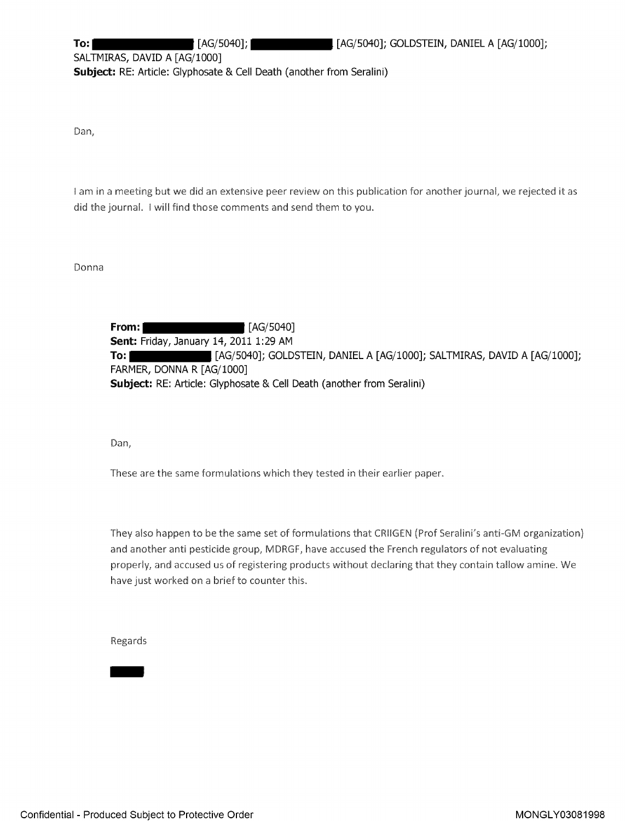SALTMIRAS, DAVID A [AG/1000] Subject: RE: Article: [Glyphosate](https://www.baumhedlundlaw.com/) & Cell Death (another from Seralini)

Dan,

<sup>I</sup> am in <sup>a</sup> meeting but we did an extensive peer review on this publication for another journal, we rejected it as did the journal. <sup>I</sup> will find those comments and send them to you.

Donna

**From:** [AG/5040] Sent: Friday, January 14, 2011 1:29 AM To: [AG/5040]; GOLDSTEIN, DANIEL A [AG/1000]; SALTMIRAS, DAVID A [AG/1000]; FARMER, DONNA R [AG/1000] Subject: RE: Article: Glyphosate & Cell Death (another from Seralini)

Dan,

These are the same formulations which they tested in their earlier paper.

They also happen to be the same set of formulations that CRIIGEN (Prof Seralini's anti-GM organization) and another anti pesticide group, MDRGF, have accused the French regulators of not evaluating properly, and accused us of registering products without declaring that they contain tallow amine. We have just worked on a brief to counter this.

Regards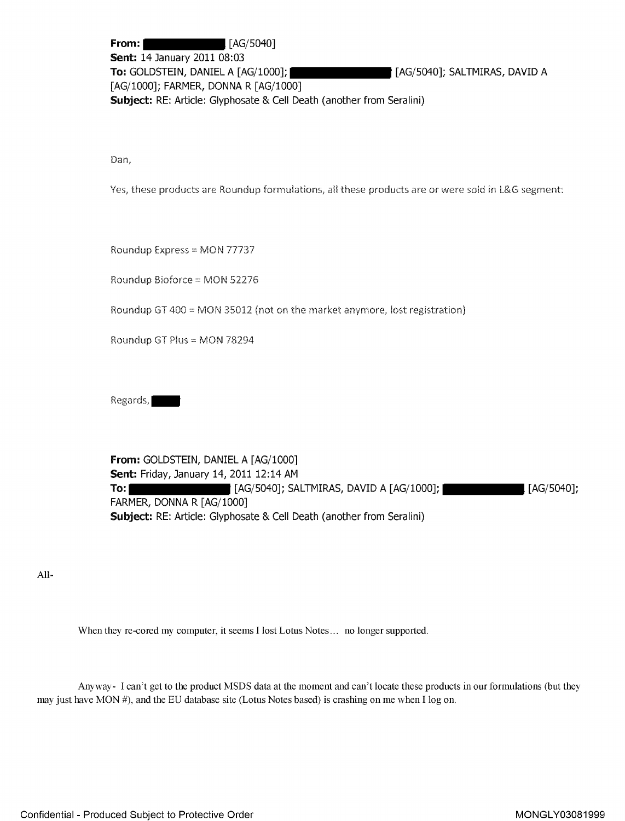**From:** [AG/5040] **Sent: 14 January 2011 08:03** To: GOLDSTEIN, DANIEL A [AG/1000]; [AG/5040]; SALTMIRAS, DAVID A [AG/1000]; FARMER, DONNA R [AG/1000] Subject: RE: Article: Glyphosate & Cell Death (another from Seralini)

Dan,

Yes, these products are Roundup formulations, all these products are or were sold in L&G segment:

Roundup Express = MON 77737

Roundup Bioforce <sup>=</sup> MON 52.276

Roundup GT 400 = MON 35012 (not on the market anymore, lost registration)

Roundup GT Plus <sup>=</sup> MON 78294

Regards,

From: GOLDSTEIN, DANIEL A [AG/1000] Sent: Friday, January 14, 2011 12:14 AM **To: [AG/5040]; SALTMIRAS, DAVID A [AG/1000]; [2G/5040]; [AG/5040];** FARMER, DONNA R [AG/1000] Subject: RE: Article: Glyphosate & Cell Death (another from Seralini)

All-

When they re-cored my computer, it seems <sup>I</sup> lost Lotus Notes... no longer supported.

Anyway- <sup>I</sup> can't get to the product MSDS data at the moment and can't locate these products in our formulations (but they may just have MON #), and the EU database site (Lotus Notes based) is crashing on me when <sup>I</sup> log on.